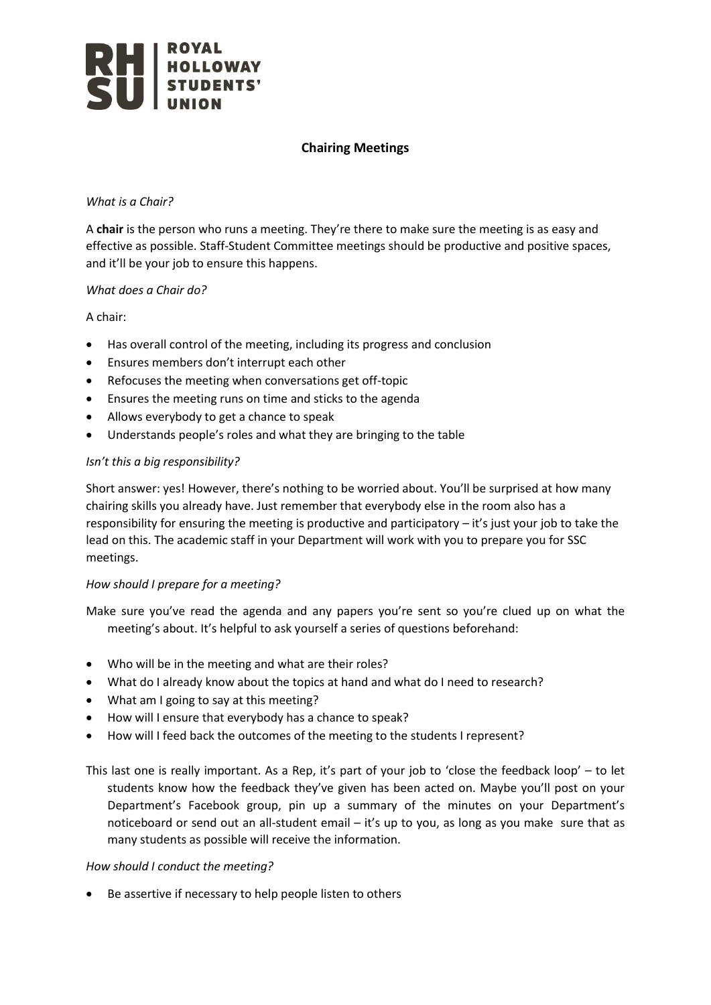

# **Chairing Meetings**

#### *What is a Chair?*

A **chair** is the person who runs a meeting. They're there to make sure the meeting is as easy and effective as possible. Staff-Student Committee meetings should be productive and positive spaces, and it'll be your job to ensure this happens.

## *What does a Chair do?*

A chair:

- Has overall control of the meeting, including its progress and conclusion
- Ensures members don't interrupt each other
- Refocuses the meeting when conversations get off-topic
- Ensures the meeting runs on time and sticks to the agenda
- Allows everybody to get a chance to speak
- Understands people's roles and what they are bringing to the table

## *Isn't this a big responsibility?*

Short answer: yes! However, there's nothing to be worried about. You'll be surprised at how many chairing skills you already have. Just remember that everybody else in the room also has a responsibility for ensuring the meeting is productive and participatory – it's just your job to take the lead on this. The academic staff in your Department will work with you to prepare you for SSC meetings.

## *How should I prepare for a meeting?*

Make sure you've read the agenda and any papers you're sent so you're clued up on what the meeting's about. It's helpful to ask yourself a series of questions beforehand:

- Who will be in the meeting and what are their roles?
- What do I already know about the topics at hand and what do I need to research?
- What am I going to say at this meeting?
- How will I ensure that everybody has a chance to speak?
- How will I feed back the outcomes of the meeting to the students I represent?

This last one is really important. As a Rep, it's part of your job to 'close the feedback loop' – to let students know how the feedback they've given has been acted on. Maybe you'll post on your Department's Facebook group, pin up a summary of the minutes on your Department's noticeboard or send out an all-student email – it's up to you, as long as you make sure that as many students as possible will receive the information.

#### *How should I conduct the meeting?*

Be assertive if necessary to help people listen to others